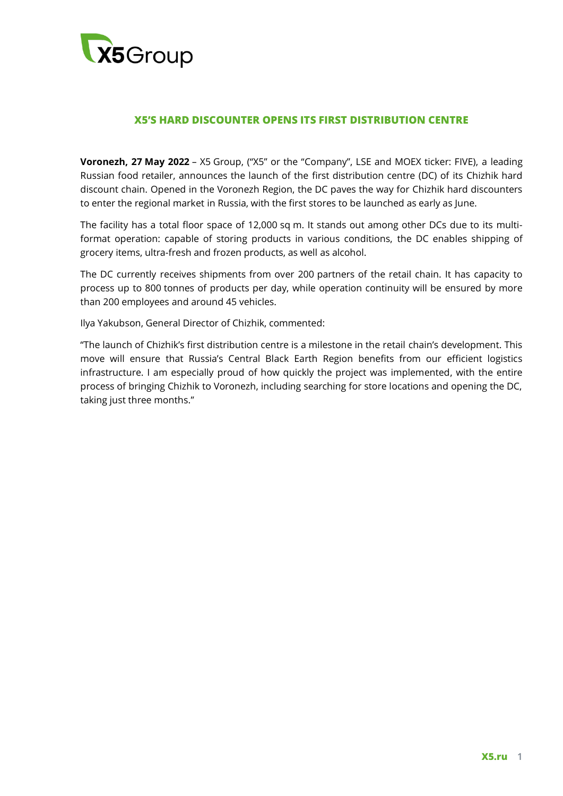

## **X5'S HARD DISCOUNTER OPENS ITS FIRST DISTRIBUTION CENTRE**

**Voronezh, 27 May 2022** – X5 Group, ("X5" or the "Company", LSE and MOEX ticker: FIVE), a leading Russian food retailer, announces the launch of the first distribution centre (DC) of its Chizhik hard discount chain. Opened in the Voronezh Region, the DC paves the way for Chizhik hard discounters to enter the regional market in Russia, with the first stores to be launched as early as June.

The facility has a total floor space of 12,000 sq m. It stands out among other DCs due to its multiformat operation: capable of storing products in various conditions, the DC enables shipping of grocery items, ultra-fresh and frozen products, as well as alcohol.

The DC currently receives shipments from over 200 partners of the retail chain. It has capacity to process up to 800 tonnes of products per day, while operation continuity will be ensured by more than 200 employees and around 45 vehicles.

Ilya Yakubson, General Director of Chizhik, commented:

"The launch of Chizhik's first distribution centre is a milestone in the retail chain's development. This move will ensure that Russia's Central Black Earth Region benefits from our efficient logistics infrastructure. I am especially proud of how quickly the project was implemented, with the entire process of bringing Chizhik to Voronezh, including searching for store locations and opening the DC, taking just three months."